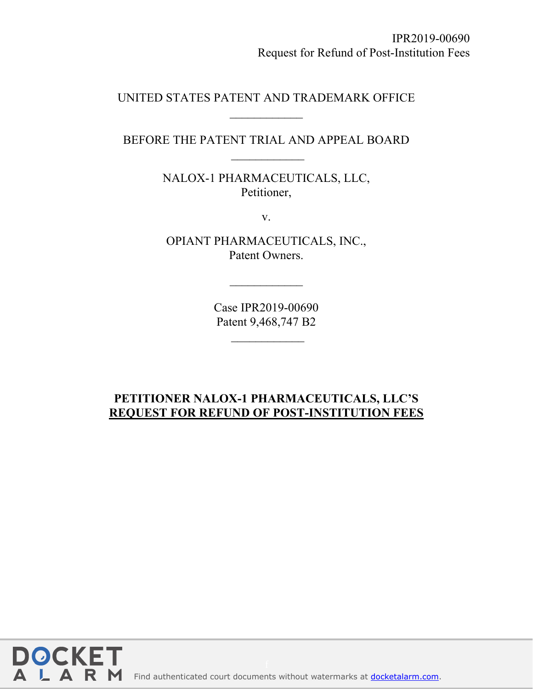UNITED STATES PATENT AND TRADEMARK OFFICE

BEFORE THE PATENT TRIAL AND APPEAL BOARD  $\frac{1}{2}$ 

> NALOX-1 PHARMACEUTICALS, LLC, Petitioner,

> > v.

OPIANT PHARMACEUTICALS, INC., Patent Owners.

> Case IPR2019-00690 Patent 9,468,747 B2

## **PETITIONER NALOX-1 PHARMACEUTICALS, LLC'S REQUEST FOR REFUND OF POST-INSTITUTION FEES**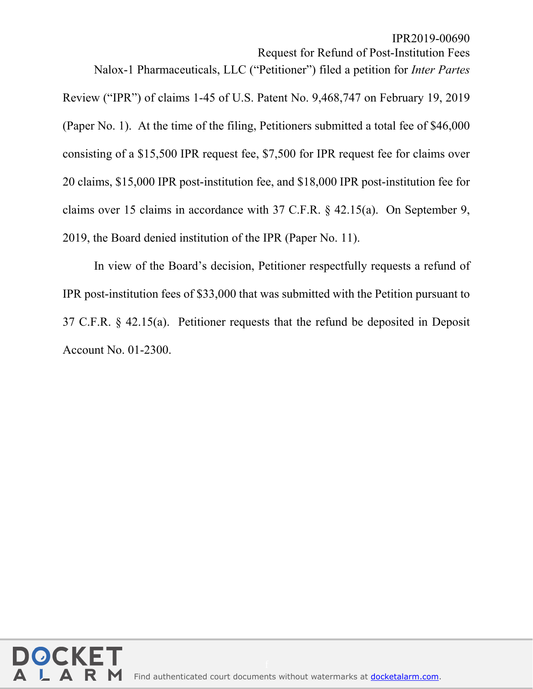IPR2019-00690

Request for Refund of Post-Institution Fees

Nalox-1 Pharmaceuticals, LLC ("Petitioner") filed a petition for *Inter Partes*

Review ("IPR") of claims 1-45 of U.S. Patent No. 9,468,747 on February 19, 2019 (Paper No. 1). At the time of the filing, Petitioners submitted a total fee of \$46,000 consisting of a \$15,500 IPR request fee, \$7,500 for IPR request fee for claims over 20 claims, \$15,000 IPR post-institution fee, and \$18,000 IPR post-institution fee for claims over 15 claims in accordance with 37 C.F.R. § 42.15(a). On September 9, 2019, the Board denied institution of the IPR (Paper No. 11).

In view of the Board's decision, Petitioner respectfully requests a refund of IPR post-institution fees of \$33,000 that was submitted with the Petition pursuant to 37 C.F.R. § 42.15(a). Petitioner requests that the refund be deposited in Deposit Account No. 01-2300.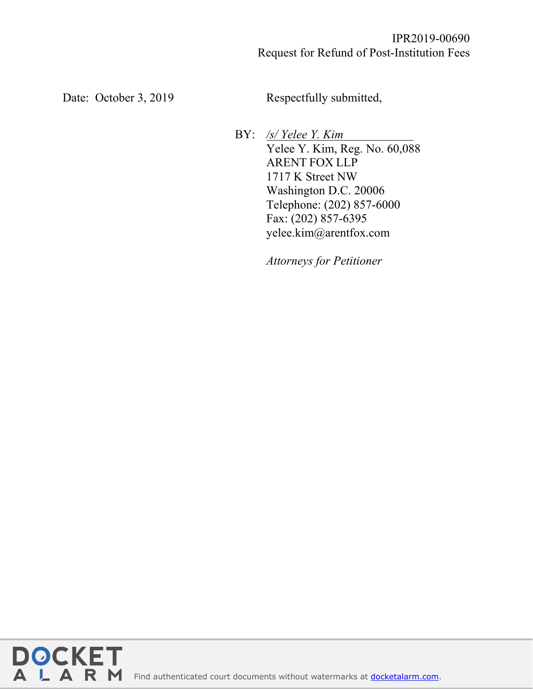Date: October 3, 2019 Respectfully submitted,

BY: */s/ Yelee Y. Kim .* Yelee Y. Kim, Reg. No. 60,088 ARENT FOX LLP 1717 K Street NW Washington D.C. 20006 Telephone: (202) 857-6000 Fax: (202) 857-6395 yelee.kim@arentfox.com

*Attorneys for Petitioner*